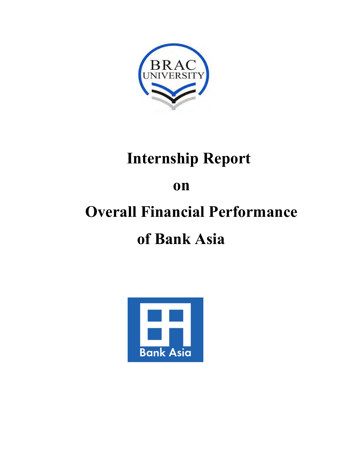

## **Internship Report**

### **on**

# **Overall Financial Performance**

### **of Bank Asia**

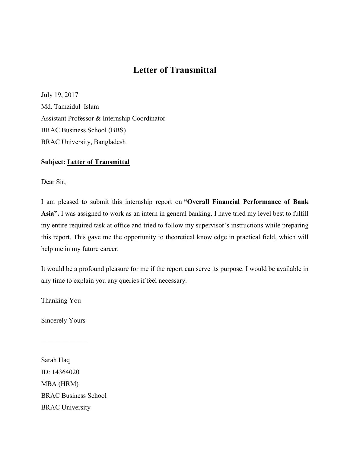#### **Letter of Transmittal**

July 19, 2017 Md. Tamzidul Islam Assistant Professor & Internship Coordinator BRAC Business School (BBS) BRAC University, Bangladesh

#### **Subject: Letter of Transmittal**

Dear Sir,

I am pleased to submit this internship report on **"Overall Financial Performance of Bank Asia".** I was assigned to work as an intern in general banking. I have tried my level best to fulfill my entire required task at office and tried to follow my supervisor's instructions while preparing this report. This gave me the opportunity to theoretical knowledge in practical field, which will help me in my future career.

It would be a profound pleasure for me if the report can serve its purpose. I would be available in any time to explain you any queries if feel necessary.

Thanking You

Sincerely Yours

———————

Sarah Haq ID: 14364020 MBA (HRM) BRAC Business School BRAC University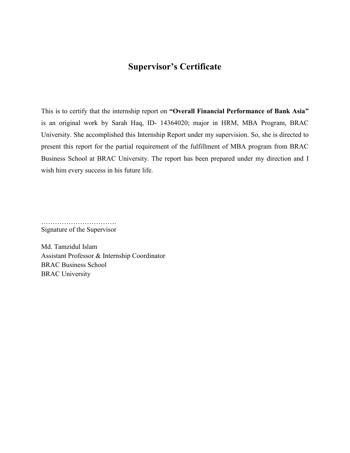#### **Supervisor's Certificate**

This is to certify that the internship report on **"Overall Financial Performance of Bank Asia"**  is an original work by Sarah Haq, ID- 14364020; major in HRM, MBA Program, BRAC University. She accomplished this Internship Report under my supervision. So, she is directed to present this report for the partial requirement of the fulfillment of MBA program from BRAC Business School at BRAC University. The report has been prepared under my direction and I wish him every success in his future life.

…………………………… Signature of the Supervisor

Md. Tamzidul Islam Assistant Professor & Internship Coordinator BRAC Business School BRAC University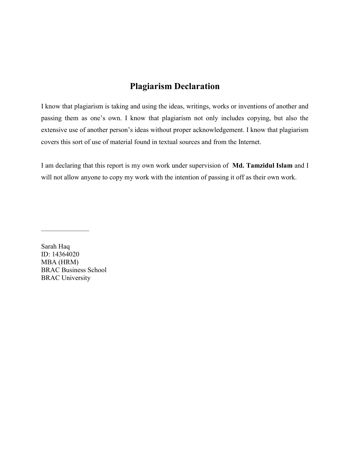#### **Plagiarism Declaration**

I know that plagiarism is taking and using the ideas, writings, works or inventions of another and passing them as one's own. I know that plagiarism not only includes copying, but also the extensive use of another person's ideas without proper acknowledgement. I know that plagiarism covers this sort of use of material found in textual sources and from the Internet.

I am declaring that this report is my own work under supervision of **Md. Tamzidul Islam** and I will not allow anyone to copy my work with the intention of passing it off as their own work.

Sarah Haq ID: 14364020 MBA (HRM) BRAC Business School BRAC University

———————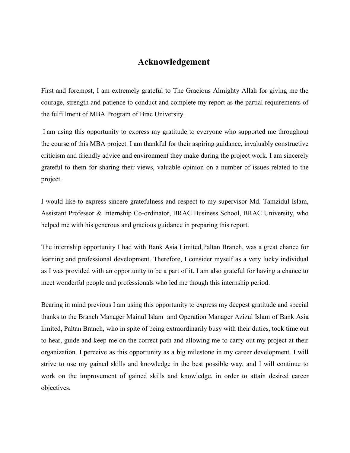#### **Acknowledgement**

First and foremost, I am extremely grateful to The Gracious Almighty Allah for giving me the courage, strength and patience to conduct and complete my report as the partial requirements of the fulfillment of MBA Program of Brac University.

 I am using this opportunity to express my gratitude to everyone who supported me throughout the course of this MBA project. I am thankful for their aspiring guidance, invaluably constructive criticism and friendly advice and environment they make during the project work. I am sincerely grateful to them for sharing their views, valuable opinion on a number of issues related to the project.

I would like to express sincere gratefulness and respect to my supervisor Md. Tamzidul Islam, Assistant Professor & Internship Co-ordinator, BRAC Business School, BRAC University, who helped me with his generous and gracious guidance in preparing this report.

The internship opportunity I had with Bank Asia Limited,Paltan Branch, was a great chance for learning and professional development. Therefore, I consider myself as a very lucky individual as I was provided with an opportunity to be a part of it. I am also grateful for having a chance to meet wonderful people and professionals who led me though this internship period.

Bearing in mind previous I am using this opportunity to express my deepest gratitude and special thanks to the Branch Manager Mainul Islam and Operation Manager Azizul Islam of Bank Asia limited, Paltan Branch, who in spite of being extraordinarily busy with their duties, took time out to hear, guide and keep me on the correct path and allowing me to carry out my project at their organization. I perceive as this opportunity as a big milestone in my career development. I will strive to use my gained skills and knowledge in the best possible way, and I will continue to work on the improvement of gained skills and knowledge, in order to attain desired career objectives.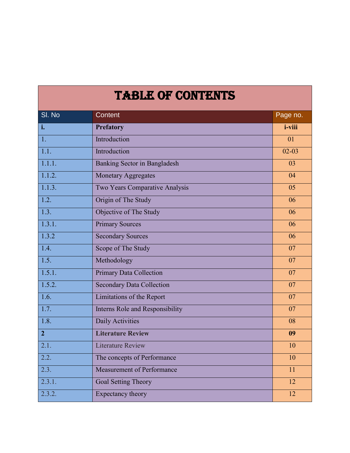### TABLE OF CONTENTS

| SI. No             | Content                                | Page no.        |
|--------------------|----------------------------------------|-----------------|
| i.                 | <b>Prefatory</b>                       | <i>i</i> -viii  |
| 1.                 | Introduction                           | 01              |
| $\overline{1.1.}$  | Introduction                           | $02 - 03$       |
| 1.1.1.             | Banking Sector in Bangladesh           | 03              |
| 1.1.2.             | <b>Monetary Aggregates</b>             | 04              |
| 1.1.3.             | Two Years Comparative Analysis         | 05              |
| 1.2.               | Origin of The Study                    | 06              |
| $\overline{1.3.}$  | Objective of The Study                 | 06              |
| 1.3.1.             | <b>Primary Sources</b>                 | 06              |
| 1.3.2              | <b>Secondary Sources</b>               | 06              |
| 1.4.               | Scope of The Study                     | 07              |
| $\overline{1.5.}$  | Methodology                            | 07              |
| 1.5.1.             | <b>Primary Data Collection</b>         | $\overline{07}$ |
| 1.5.2.             | <b>Secondary Data Collection</b>       | 07              |
| $\overline{1.6}$ . | <b>Limitations of the Report</b>       | 07              |
| 1.7.               | <b>Interns Role and Responsibility</b> | 07              |
| $\overline{1.8}$ . | Daily Activities                       | 08              |
| 2 <sup>1</sup>     | <b>Literature Review</b>               | 09              |
| $\overline{2.1}$ . | <b>Literature Review</b>               | 10              |
| $\overline{2.2.}$  | The concepts of Performance            | 10              |
| $\overline{2.3}$ . | Measurement of Performance             | 11              |
| 2.3.1.             | Goal Setting Theory                    | 12              |
| 2.3.2.             | Expectancy theory                      | 12              |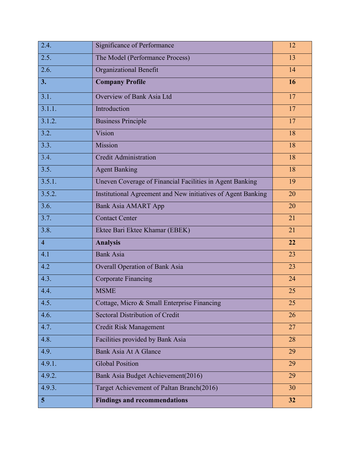| 2.4.                    | Significance of Performance                                  | 12 |
|-------------------------|--------------------------------------------------------------|----|
| 2.5.                    | The Model (Performance Process)                              | 13 |
| 2.6.                    | Organizational Benefit                                       | 14 |
| 3.                      | <b>Company Profile</b>                                       | 16 |
| 3.1.                    | Overview of Bank Asia Ltd                                    | 17 |
| 3.1.1.                  | Introduction                                                 | 17 |
| 3.1.2.                  | <b>Business Principle</b>                                    | 17 |
| 3.2.                    | Vision                                                       | 18 |
| 3.3.                    | Mission                                                      | 18 |
| 3.4.                    | <b>Credit Administration</b>                                 | 18 |
| 3.5.                    | <b>Agent Banking</b>                                         | 18 |
| 3.5.1.                  | Uneven Coverage of Financial Facilities in Agent Banking     | 19 |
| 3.5.2.                  | Institutional Agreement and New initiatives of Agent Banking | 20 |
| 3.6.                    | <b>Bank Asia AMART App</b>                                   | 20 |
| 3.7.                    | <b>Contact Center</b>                                        | 21 |
| 3.8.                    | Ektee Bari Ektee Khamar (EBEK)                               | 21 |
| $\overline{\mathbf{4}}$ | <b>Analysis</b>                                              | 22 |
| 4.1                     | <b>Bank Asia</b>                                             | 23 |
| 4.2                     | <b>Overall Operation of Bank Asia</b>                        | 23 |
| 4.3.                    | <b>Corporate Financing</b>                                   | 24 |
| 4.4.                    | <b>MSME</b>                                                  | 25 |
| 4.5.                    | Cottage, Micro & Small Enterprise Financing                  | 25 |
| 4.6.                    | Sectoral Distribution of Credit                              | 26 |
| 4.7.                    | Credit Risk Management                                       | 27 |
| 4.8.                    | Facilities provided by Bank Asia                             | 28 |
| 4.9.                    | Bank Asia At A Glance                                        | 29 |
| 4.9.1.                  | <b>Global Position</b>                                       | 29 |
| 4.9.2.                  | Bank Asia Budget Achievement (2016)                          | 29 |
| 4.9.3.                  | Target Achievement of Paltan Branch(2016)                    | 30 |
| $5\phantom{.0}$         | <b>Findings and recommendations</b>                          | 32 |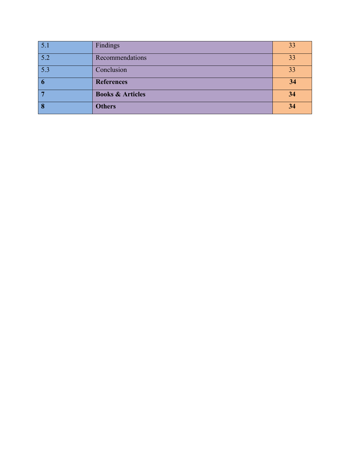| $\overline{5.1}$        | Findings                    | 33 |
|-------------------------|-----------------------------|----|
| 5.2                     | Recommendations             | 33 |
| 5.3                     | Conclusion                  | 33 |
| $\overline{\mathbf{6}}$ | <b>References</b>           | 34 |
|                         | <b>Books &amp; Articles</b> | 34 |
|                         |                             |    |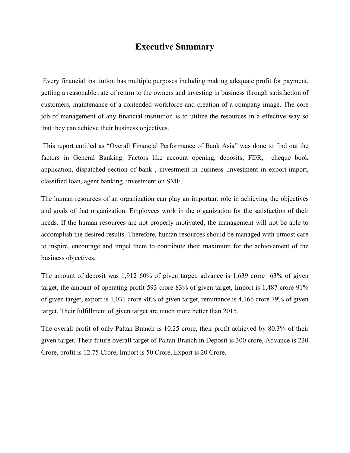#### **Executive Summary**

Every financial institution has multiple purposes including making adequate profit for payment, getting a reasonable rate of return to the owners and investing in business through satisfaction of customers, maintenance of a contended workforce and creation of a company image. The core job of management of any financial institution is to utilize the resources in a effective way so that they can achieve their business objectives.

This report entitled as "Overall Financial Performance of Bank Asia" was done to find out the factors in General Banking. Factors like account opening, deposits, FDR, cheque book application, dispatched section of bank , investment in business ,investment in export-import, classified loan, agent banking, investment on SME.

The human resources of an organization can play an important role in achieving the objectives and goals of that organization. Employees work in the organization for the satisfaction of their needs. If the human resources are not properly motivated, the management will not be able to accomplish the desired results. Therefore, human resources should be managed with utmost care to inspire, encourage and impel them to contribute their maximum for the achievement of the business objectives.

The amount of deposit was 1,912 60% of given target, advance is 1,639 crore 63% of given target, the amount of operating profit 593 crore 83% of given target, Import is 1,487 crore 91% of given target, export is 1,031 crore 90% of given target, remittance is 4,166 crore 79% of given target. Their fulfillment of given target are much more better than 2015.

The overall profit of only Paltan Branch is 10.25 crore, their profit achieved by 80.3% of their given target. Their future overall target of Paltan Branch in Deposit is 300 crore, Advance is 220 Crore, profit is 12.75 Crore, Import is 50 Crore, Export is 20 Crore.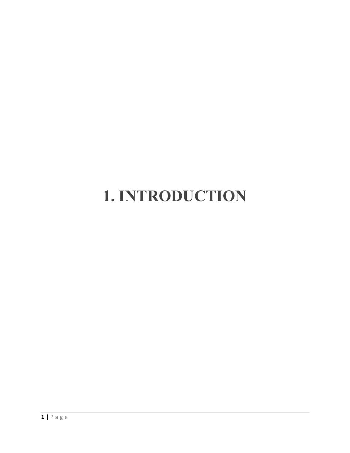# **1. INTRODUCTION**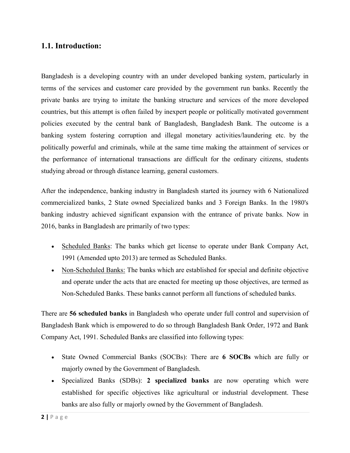#### **1.1. Introduction:**

Bangladesh is a developing country with an under developed banking system, particularly in terms of the services and customer care provided by the government run banks. Recently the private banks are trying to imitate the banking structure and services of the more developed countries, but this attempt is often failed by inexpert people or politically motivated government policies executed by the central bank of Bangladesh, Bangladesh Bank. The outcome is a banking system fostering corruption and illegal monetary activities/laundering etc. by the politically powerful and criminals, while at the same time making the attainment of services or the performance of international transactions are difficult for the ordinary citizens, students studying abroad or through distance learning, general customers.

After the independence, banking industry in Bangladesh started its journey with 6 Nationalized commercialized banks, 2 State owned Specialized banks and 3 Foreign Banks. In the 1980's banking industry achieved significant expansion with the entrance of private banks. Now in 2016, banks in Bangladesh are primarily of two types:

- Scheduled Banks: The banks which get license to operate under Bank Company Act, 1991 (Amended upto 2013) are termed as Scheduled Banks.
- Non-Scheduled Banks: The banks which are established for special and definite objective and operate under the acts that are enacted for meeting up those objectives, are termed as Non-Scheduled Banks. These banks cannot perform all functions of scheduled banks.

There are **56 scheduled banks** in Bangladesh who operate under full control and supervision of Bangladesh Bank which is empowered to do so through Bangladesh Bank Order, 1972 and Bank Company Act, 1991. Scheduled Banks are classified into following types:

- State Owned Commercial Banks (SOCBs): There are **6 SOCBs** which are fully or majorly owned by the Government of Bangladesh.
- Specialized Banks (SDBs): **2 specialized banks** are now operating which were established for specific objectives like agricultural or industrial development. These banks are also fully or majorly owned by the Government of Bangladesh.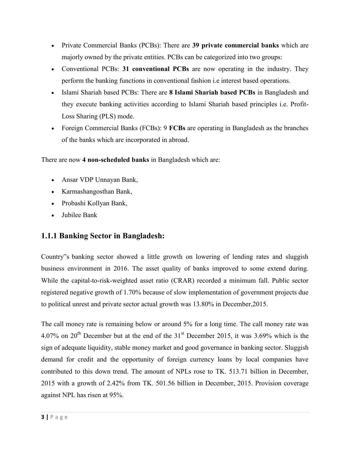- Private Commercial Banks (PCBs): There are **39 private commercial banks** which are majorly owned by the private entities. PCBs can be categorized into two groups:
- Conventional PCBs: **31 conventional PCBs** are now operating in the industry. They perform the banking functions in conventional fashion i.e interest based operations.
- Islami Shariah based PCBs: There are **8 Islami Shariah based PCBs** in Bangladesh and they execute banking activities according to Islami Shariah based principles i.e. Profit-Loss Sharing (PLS) mode.
- Foreign Commercial Banks (FCBs): 9 **FCBs** are operating in Bangladesh as the branches of the banks which are incorporated in abroad.

There are now **4 non-scheduled banks** in Bangladesh which are:

- Ansar VDP Unnayan Bank,
- Karmashangosthan Bank,
- Probashi Kollyan Bank,
- Jubilee Bank

#### **1.1.1 Banking Sector in Bangladesh:**

Country"s banking sector showed a little growth on lowering of lending rates and sluggish business environment in 2016. The asset quality of banks improved to some extend during. While the capital-to-risk-weighted asset ratio (CRAR) recorded a minimum fall. Public sector registered negative growth of 1.70% because of slow implementation of government projects due to political unrest and private sector actual growth was 13.80% in December,2015.

The call money rate is remaining below or around 5% for a long time. The call money rate was 4.07% on 20<sup>th</sup> December but at the end of the  $31<sup>st</sup>$  December 2015, it was 3.69% which is the sign of adequate liquidity, stable money market and good governance in banking sector. Sluggish demand for credit and the opportunity of foreign currency loans by local companies have contributed to this down trend. The amount of NPLs rose to TK. 513.71 billion in December, 2015 with a growth of 2.42% from TK. 501.56 billion in December, 2015. Provision coverage against NPL has risen at 95%.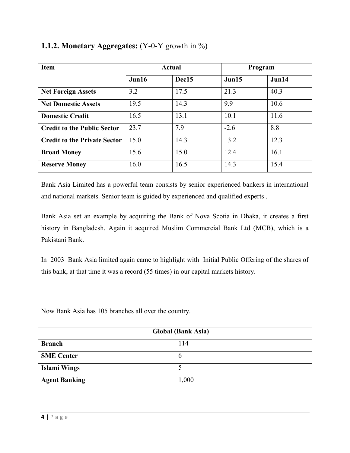| <b>Item</b>                         | <b>Actual</b> |       |        | Program |
|-------------------------------------|---------------|-------|--------|---------|
|                                     | Jun16         | Dec15 | Jun15  | Jun14   |
| <b>Net Foreign Assets</b>           | 3.2           | 17.5  | 21.3   | 40.3    |
| <b>Net Domestic Assets</b>          | 19.5          | 14.3  | 9.9    | 10.6    |
| <b>Domestic Credit</b>              | 16.5          | 13.1  | 10.1   | 11.6    |
| <b>Credit to the Public Sector</b>  | 23.7          | 7.9   | $-2.6$ | 8.8     |
| <b>Credit to the Private Sector</b> | 15.0          | 14.3  | 13.2   | 12.3    |
| <b>Broad Money</b>                  | 15.6          | 15.0  | 12.4   | 16.1    |
| <b>Reserve Money</b>                | 16.0          | 16.5  | 14.3   | 15.4    |

#### **1.1.2. Monetary Aggregates:** (Y-0-Y growth in %)

Bank Asia Limited has a powerful team consists by senior experienced bankers in international and national markets. Senior team is guided by experienced and qualified experts .

Bank Asia set an example by acquiring the Bank of Nova Scotia in Dhaka, it creates a first history in Bangladesh. Again it acquired Muslim Commercial Bank Ltd (MCB), which is a Pakistani Bank.

In 2003 Bank Asia limited again came to highlight with Initial Public Offering of the shares of this bank, at that time it was a record (55 times) in our capital markets history.

Now Bank Asia has 105 branches all over the country.

| <b>Global (Bank Asia)</b> |               |  |
|---------------------------|---------------|--|
| <b>Branch</b>             | 114           |  |
| <b>SME Center</b>         | $\mathfrak b$ |  |
| <b>Islami Wings</b>       |               |  |
| <b>Agent Banking</b>      | 1,000         |  |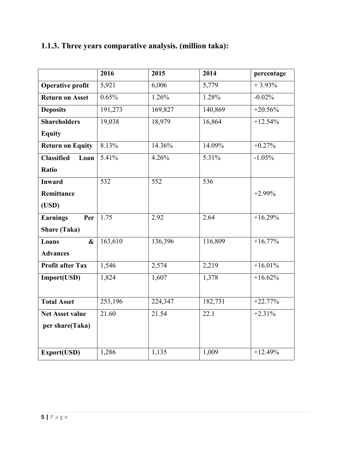|                           | 2016    | 2015    | 2014    | percentage |
|---------------------------|---------|---------|---------|------------|
| <b>Operative profit</b>   | 5,921   | 6,006   | 5,779   | $+3.93%$   |
| <b>Return on Asset</b>    | 0.65%   | 1.26%   | 1.28%   | $-0.02%$   |
| <b>Deposits</b>           | 191,273 | 169,827 | 140,869 | $+20.56%$  |
| <b>Shareholders</b>       | 19,038  | 18,979  | 16,864  | $+12.54%$  |
| <b>Equity</b>             |         |         |         |            |
| <b>Return on Equity</b>   | 8.13%   | 14.36%  | 14.09%  | $+0.27%$   |
| <b>Classified</b><br>Loan | 5.41%   | 4.26%   | 5.31%   | $-1.05%$   |
| Ratio                     |         |         |         |            |
| <b>Inward</b>             | 532     | 552     | 536     |            |
| Remittance                |         |         |         | $+2.99%$   |
| (USD)                     |         |         |         |            |
| <b>Earnings</b><br>Per    | 1.75    | 2.92    | 2.64    | $+16.29%$  |
| <b>Share (Taka)</b>       |         |         |         |            |
| $\mathbf{\&}$<br>Loans    | 163,610 | 136,396 | 116,809 | $+16.77%$  |
| <b>Advances</b>           |         |         |         |            |
| <b>Profit after Tax</b>   | 1,546   | 2,574   | 2,219   | $+16.01%$  |
| Import(USD)               | 1,824   | 1,607   | 1,378   | $+16.62%$  |
|                           |         |         |         |            |
| <b>Total Asset</b>        | 253,196 | 224,347 | 182,731 | $+22.77%$  |
| <b>Net Asset value</b>    | 21.60   | 21.54   | 22.1    | $+2.31%$   |
| per share(Taka)           |         |         |         |            |
|                           |         |         |         |            |
| Export(USD)               | 1,286   | 1,135   | 1,009   | $+12.49%$  |

### **1.1.3. Three years comparative analysis. (million taka):**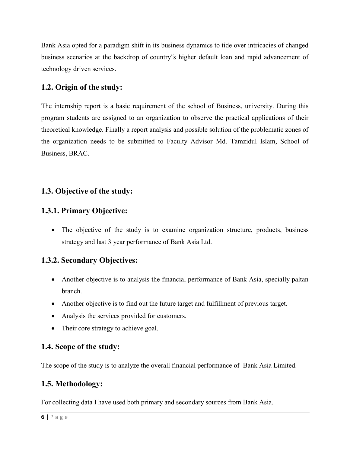Bank Asia opted for a paradigm shift in its business dynamics to tide over intricacies of changed business scenarios at the backdrop of country"s higher default loan and rapid advancement of technology driven services.

#### **1.2. Origin of the study:**

The internship report is a basic requirement of the school of Business, university. During this program students are assigned to an organization to observe the practical applications of their theoretical knowledge. Finally a report analysis and possible solution of the problematic zones of the organization needs to be submitted to Faculty Advisor Md. Tamzidul Islam, School of Business, BRAC.

#### **1.3. Objective of the study:**

#### **1.3.1. Primary Objective:**

• The objective of the study is to examine organization structure, products, business strategy and last 3 year performance of Bank Asia Ltd.

#### **1.3.2. Secondary Objectives:**

- Another objective is to analysis the financial performance of Bank Asia, specially paltan branch.
- Another objective is to find out the future target and fulfillment of previous target.
- Analysis the services provided for customers.
- Their core strategy to achieve goal.

#### **1.4. Scope of the study:**

The scope of the study is to analyze the overall financial performance of Bank Asia Limited.

#### **1.5. Methodology:**

For collecting data I have used both primary and secondary sources from Bank Asia.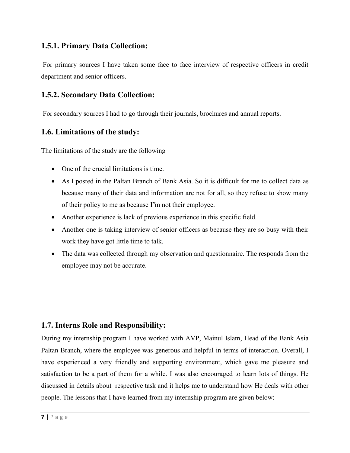#### **1.5.1. Primary Data Collection:**

For primary sources I have taken some face to face interview of respective officers in credit department and senior officers.

#### **1.5.2. Secondary Data Collection:**

For secondary sources I had to go through their journals, brochures and annual reports.

#### **1.6. Limitations of the study:**

The limitations of the study are the following

- One of the crucial limitations is time.
- As I posted in the Paltan Branch of Bank Asia. So it is difficult for me to collect data as because many of their data and information are not for all, so they refuse to show many of their policy to me as because I"m not their employee.
- Another experience is lack of previous experience in this specific field.
- Another one is taking interview of senior officers as because they are so busy with their work they have got little time to talk.
- The data was collected through my observation and questionnaire. The responds from the employee may not be accurate.

#### **1.7. Interns Role and Responsibility:**

During my internship program I have worked with AVP, Mainul Islam, Head of the Bank Asia Paltan Branch, where the employee was generous and helpful in terms of interaction. Overall, I have experienced a very friendly and supporting environment, which gave me pleasure and satisfaction to be a part of them for a while. I was also encouraged to learn lots of things. He discussed in details about respective task and it helps me to understand how He deals with other people. The lessons that I have learned from my internship program are given below: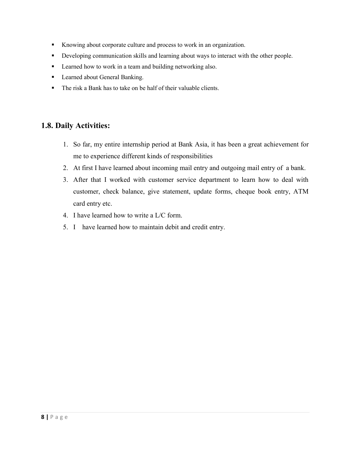- Knowing about corporate culture and process to work in an organization.
- **•** Developing communication skills and learning about ways to interact with the other people.
- **Learned how to work in a team and building networking also.**
- **Learned about General Banking.**
- The risk a Bank has to take on be half of their valuable clients.

#### **1.8. Daily Activities:**

- 1. So far, my entire internship period at Bank Asia, it has been a great achievement for me to experience different kinds of responsibilities
- 2. At first I have learned about incoming mail entry and outgoing mail entry of a bank.
- 3. After that I worked with customer service department to learn how to deal with customer, check balance, give statement, update forms, cheque book entry, ATM card entry etc.
- 4. I have learned how to write a L/C form.
- 5. I have learned how to maintain debit and credit entry.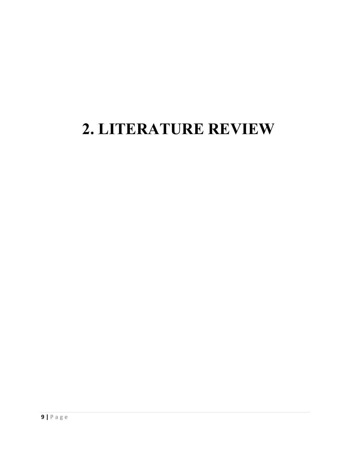### **2. LITERATURE REVIEW**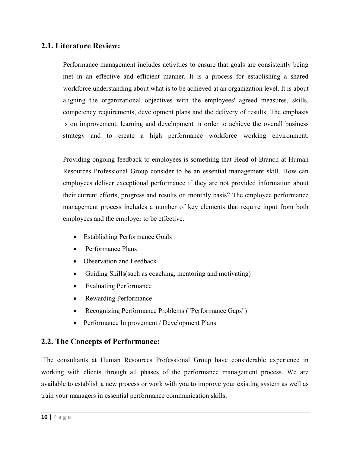#### **2.1. Literature Review:**

Performance management includes activities to ensure that goals are consistently being met in an effective and efficient manner. It is a process for establishing a shared workforce understanding about what is to be achieved at an organization level. It is about aligning the organizational objectives with the employees' agreed measures, skills, competency requirements, development plans and the delivery of results. The emphasis is on improvement, learning and development in order to achieve the overall business strategy and to create a high performance workforce working environment.

Providing ongoing feedback to employees is something that Head of Branch at Human Resources Professional Group consider to be an essential management skill. How can employees deliver exceptional performance if they are not provided information about their current efforts, progress and results on monthly basis? The employee performance management process includes a number of key elements that require input from both employees and the employer to be effective.

- Establishing Performance Goals
- Performance Plans
- Observation and Feedback
- Guiding Skills(such as coaching, mentoring and motivating)
- Evaluating Performance
- Rewarding Performance
- Recognizing Performance Problems ("Performance Gaps")
- Performance Improvement / Development Plans

#### **2.2. The Concepts of Performance:**

The consultants at Human Resources Professional Group have considerable experience in working with clients through all phases of the performance management process. We are available to establish a new process or work with you to improve your existing system as well as train your managers in essential performance communication skills.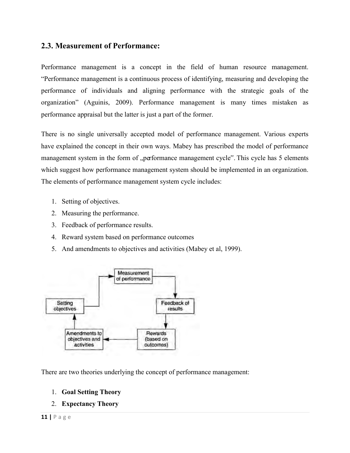#### **2.3. Measurement of Performance:**

Performance management is a concept in the field of human resource management. "Performance management is a continuous process of identifying, measuring and developing the performance of individuals and aligning performance with the strategic goals of the organization" (Aguinis, 2009). Performance management is many times mistaken as performance appraisal but the latter is just a part of the former.

There is no single universally accepted model of performance management. Various experts have explained the concept in their own ways. Mabey has prescribed the model of performance management system in the form of "performance management cycle". This cycle has 5 elements which suggest how performance management system should be implemented in an organization. The elements of performance management system cycle includes:

- 1. Setting of objectives.
- 2. Measuring the performance.
- 3. Feedback of performance results.
- 4. Reward system based on performance outcomes
- 5. And amendments to objectives and activities (Mabey et al, 1999).



There are two theories underlying the concept of performance management:

1. **Goal Setting Theory**

#### 2. **Expectancy Theory**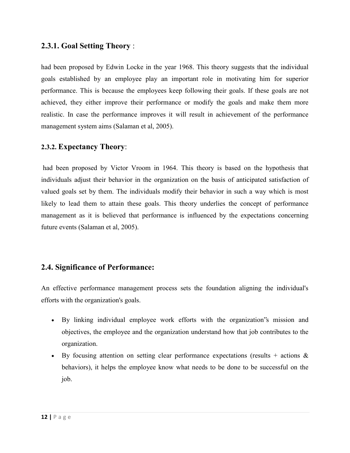#### **2.3.1. Goal Setting Theory** :

had been proposed by Edwin Locke in the year 1968. This theory suggests that the individual goals established by an employee play an important role in motivating him for superior performance. This is because the employees keep following their goals. If these goals are not achieved, they either improve their performance or modify the goals and make them more realistic. In case the performance improves it will result in achievement of the performance management system aims (Salaman et al, 2005).

#### **2.3.2. [Expectancy Theory](https://www.projectguru.in/publications/expectancy-theory-performance-management/)**:

had been proposed by Victor Vroom in 1964. This theory is based on the hypothesis that individuals adjust their behavior in the organization on the basis of anticipated satisfaction of valued goals set by them. The individuals modify their behavior in such a way which is most likely to lead them to attain these goals. This theory underlies the concept of performance management as it is believed that performance is influenced by the expectations concerning future events (Salaman et al, 2005).

#### **2.4. Significance of Performance:**

An effective performance management process sets the foundation aligning the individual's efforts with the organization's goals.

- By linking individual employee work efforts with the organization"s mission and objectives, the employee and the organization understand how that job contributes to the organization.
- By focusing attention on setting clear performance expectations (results + actions  $\&$ behaviors), it helps the employee know what needs to be done to be successful on the job.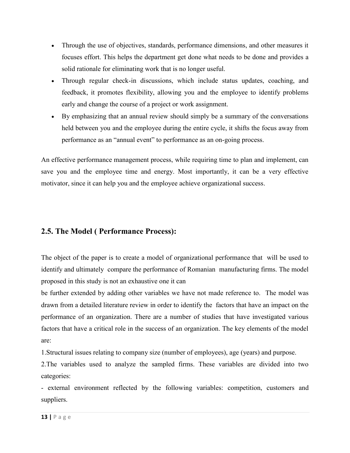- Through the use of objectives, standards, performance dimensions, and other measures it focuses effort. This helps the department get done what needs to be done and provides a solid rationale for eliminating work that is no longer useful.
- Through regular check-in discussions, which include status updates, coaching, and feedback, it promotes flexibility, allowing you and the employee to identify problems early and change the course of a project or work assignment.
- By emphasizing that an annual review should simply be a summary of the conversations held between you and the employee during the entire cycle, it shifts the focus away from performance as an "annual event" to performance as an on-going process.

An effective performance management process, while requiring time to plan and implement, can save you and the employee time and energy. Most importantly, it can be a very effective motivator, since it can help you and the employee achieve organizational success.

#### **2.5. The Model ( Performance Process):**

The object of the paper is to create a model of organizational performance that will be used to identify and ultimately compare the performance of Romanian manufacturing firms. The model proposed in this study is not an exhaustive one it can

be further extended by adding other variables we have not made reference to. The model was drawn from a detailed literature review in order to identify the factors that have an impact on the performance of an organization. There are a number of studies that have investigated various factors that have a critical role in the success of an organization. The key elements of the model are:

1.Structural issues relating to company size (number of employees), age (years) and purpose.

2.The variables used to analyze the sampled firms. These variables are divided into two categories:

- external environment reflected by the following variables: competition, customers and suppliers.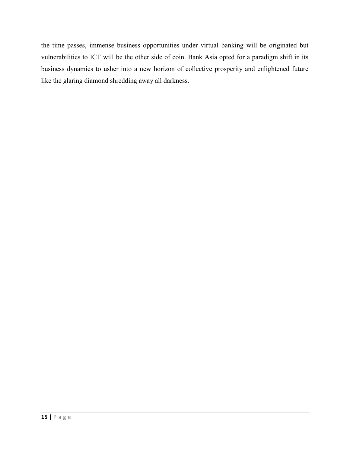the time passes, immense business opportunities under virtual banking will be originated but vulnerabilities to ICT will be the other side of coin. Bank Asia opted for a paradigm shift in its business dynamics to usher into a new horizon of collective prosperity and enlightened future like the glaring diamond shredding away all darkness.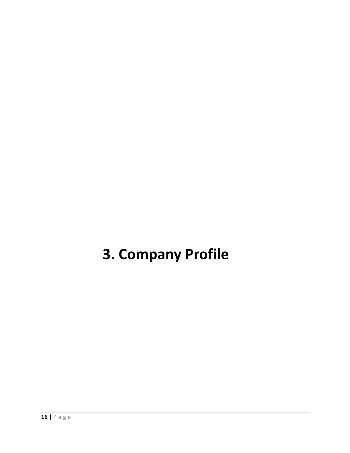### **3. Company Profile**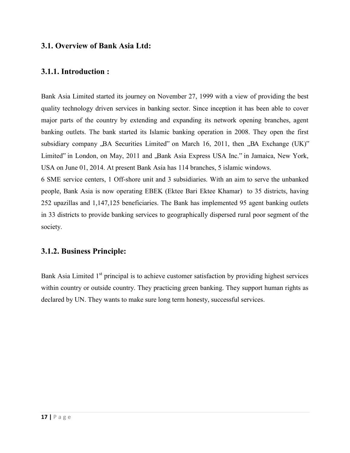#### **3.1. Overview of Bank Asia Ltd:**

#### **3.1.1. Introduction :**

Bank Asia Limited started its journey on November 27, 1999 with a view of providing the best quality technology driven services in banking sector. Since inception it has been able to cover major parts of the country by extending and expanding its network opening branches, agent banking outlets. The bank started its Islamic banking operation in 2008. They open the first subsidiary company  $,BA$  Securities Limited" on March 16, 2011, then  $,BA$  Exchange (UK)" Limited" in London, on May, 2011 and , Bank Asia Express USA Inc." in Jamaica, New York, USA on June 01, 2014. At present Bank Asia has 114 branches, 5 islamic windows.

6 SME service centers, 1 Off-shore unit and 3 subsidiaries. With an aim to serve the unbanked people, Bank Asia is now operating EBEK (Ektee Bari Ektee Khamar) to 35 districts, having 252 upazillas and 1,147,125 beneficiaries. The Bank has implemented 95 agent banking outlets in 33 districts to provide banking services to geographically dispersed rural poor segment of the society.

#### **3.1.2. Business Principle:**

Bank Asia Limited  $1<sup>st</sup>$  principal is to achieve customer satisfaction by providing highest services within country or outside country. They practicing green banking. They support human rights as declared by UN. They wants to make sure long term honesty, successful services.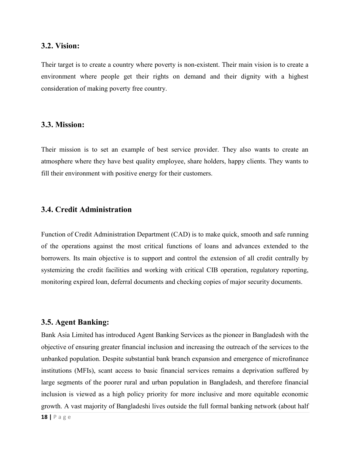#### **3.2. Vision:**

Their target is to create a country where poverty is non-existent. Their main vision is to create a environment where people get their rights on demand and their dignity with a highest consideration of making poverty free country.

#### **3.3. Mission:**

Their mission is to set an example of best service provider. They also wants to create an atmosphere where they have best quality employee, share holders, happy clients. They wants to fill their environment with positive energy for their customers.

#### **3.4. Credit Administration**

Function of Credit Administration Department (CAD) is to make quick, smooth and safe running of the operations against the most critical functions of loans and advances extended to the borrowers. Its main objective is to support and control the extension of all credit centrally by systemizing the credit facilities and working with critical CIB operation, regulatory reporting, monitoring expired loan, deferral documents and checking copies of major security documents.

#### **3.5. Agent Banking:**

Bank Asia Limited has introduced Agent Banking Services as the pioneer in Bangladesh with the objective of ensuring greater financial inclusion and increasing the outreach of the services to the unbanked population. Despite substantial bank branch expansion and emergence of microfinance institutions (MFIs), scant access to basic financial services remains a deprivation suffered by large segments of the poorer rural and urban population in Bangladesh, and therefore financial inclusion is viewed as a high policy priority for more inclusive and more equitable economic growth. A vast majority of Bangladeshi lives outside the full formal banking network (about half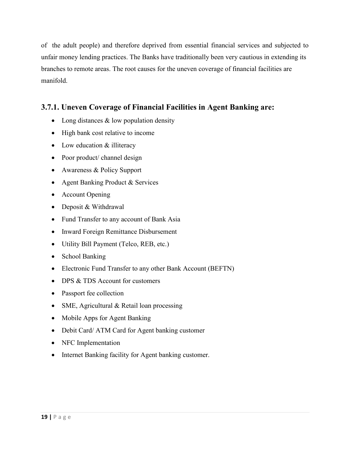of the adult people) and therefore deprived from essential financial services and subjected to unfair money lending practices. The Banks have traditionally been very cautious in extending its branches to remote areas. The root causes for the uneven coverage of financial facilities are manifold.

#### **3.7.1. Uneven Coverage of Financial Facilities in Agent Banking are:**

- Long distances  $&$  low population density
- High bank cost relative to income
- Low education & illiteracy
- Poor product/ channel design
- Awareness & Policy Support
- Agent Banking Product & Services
- Account Opening
- Deposit & Withdrawal
- Fund Transfer to any account of Bank Asia
- Inward Foreign Remittance Disbursement
- Utility Bill Payment (Telco, REB, etc.)
- School Banking
- Electronic Fund Transfer to any other Bank Account (BEFTN)
- $\bullet$  DPS  $\&$  TDS Account for customers
- Passport fee collection
- SME, Agricultural & Retail loan processing
- Mobile Apps for Agent Banking
- Debit Card/ ATM Card for Agent banking customer
- NFC Implementation
- Internet Banking facility for Agent banking customer.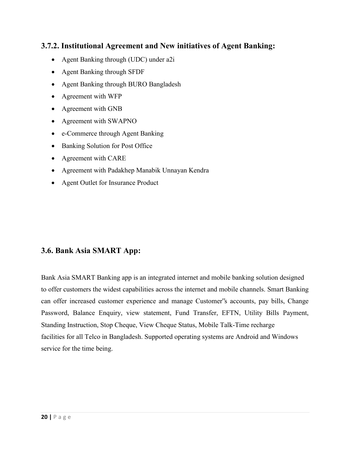#### **3.7.2. Institutional Agreement and New initiatives of Agent Banking:**

- Agent Banking through (UDC) under a2i
- Agent Banking through SFDF
- Agent Banking through BURO Bangladesh
- Agreement with WFP
- Agreement with GNB
- Agreement with SWAPNO
- e-Commerce through Agent Banking
- Banking Solution for Post Office
- Agreement with CARE
- Agreement with Padakhep Manabik Unnayan Kendra
- Agent Outlet for Insurance Product

#### **3.6. Bank Asia SMART App:**

Bank Asia SMART Banking app is an integrated internet and mobile banking solution designed to offer customers the widest capabilities across the internet and mobile channels. Smart Banking can offer increased customer experience and manage Customer"s accounts, pay bills, Change Password, Balance Enquiry, view statement, Fund Transfer, EFTN, Utility Bills Payment, Standing Instruction, Stop Cheque, View Cheque Status, Mobile Talk-Time recharge facilities for all Telco in Bangladesh. Supported operating systems are Android and Windows service for the time being.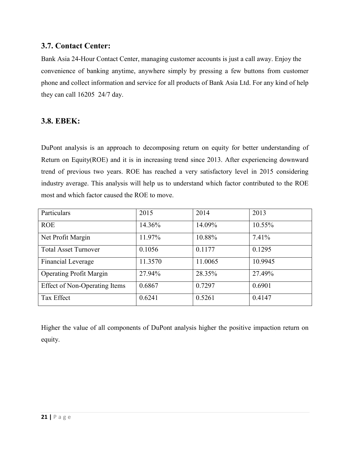#### **3.7. Contact Center:**

Bank Asia 24-Hour Contact Center, managing customer accounts is just a call away. Enjoy the convenience of banking anytime, anywhere simply by pressing a few buttons from customer phone and collect information and service for all products of Bank Asia Ltd. For any kind of help they can call 16205 24/7 day.

#### **3.8. EBEK:**

DuPont analysis is an approach to decomposing return on equity for better understanding of Return on Equity(ROE) and it is in increasing trend since 2013. After experiencing downward trend of previous two years. ROE has reached a very satisfactory level in 2015 considering industry average. This analysis will help us to understand which factor contributed to the ROE most and which factor caused the ROE to move.

| Particulars                          | 2015    | 2014    | 2013    |
|--------------------------------------|---------|---------|---------|
| <b>ROE</b>                           | 14.36%  | 14.09%  | 10.55%  |
| Net Profit Margin                    | 11.97%  | 10.88%  | 7.41%   |
| <b>Total Asset Turnover</b>          | 0.1056  | 0.1177  | 0.1295  |
| Financial Leverage                   | 11.3570 | 11.0065 | 10.9945 |
| <b>Operating Profit Margin</b>       | 27.94%  | 28.35%  | 27.49%  |
| <b>Effect of Non-Operating Items</b> | 0.6867  | 0.7297  | 0.6901  |
| Tax Effect                           | 0.6241  | 0.5261  | 0.4147  |

Higher the value of all components of DuPont analysis higher the positive impaction return on equity.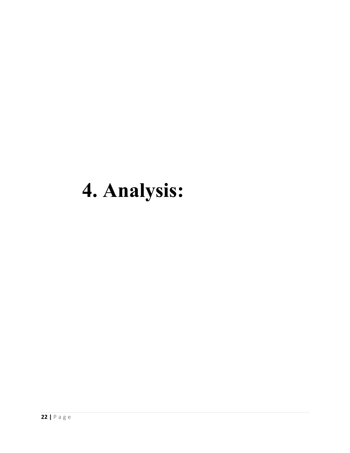# **4. Analysis:**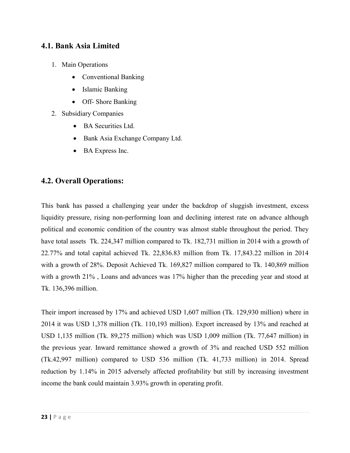#### **4.1. Bank Asia Limited**

- 1. Main Operations
	- Conventional Banking
	- Islamic Banking
	- Off- Shore Banking
- 2. Subsidiary Companies
	- BA Securities Ltd.
	- Bank Asia Exchange Company Ltd.
	- BA Express Inc.

#### **4.2. Overall Operations:**

This bank has passed a challenging year under the backdrop of sluggish investment, excess liquidity pressure, rising non-performing loan and declining interest rate on advance although political and economic condition of the country was almost stable throughout the period. They have total assets Tk. 224,347 million compared to Tk. 182,731 million in 2014 with a growth of 22.77% and total capital achieved Tk. 22,836.83 million from Tk. 17,843.22 million in 2014 with a growth of 28%. Deposit Achieved Tk. 169,827 million compared to Tk. 140,869 million with a growth 21% , Loans and advances was 17% higher than the preceding year and stood at Tk. 136,396 million.

Their import increased by 17% and achieved USD 1,607 million (Tk. 129,930 million) where in 2014 it was USD 1,378 million (Tk. 110,193 million). Export increased by 13% and reached at USD 1,135 million (Tk. 89,275 million) which was USD 1,009 million (Tk. 77,647 million) in the previous year. Inward remittance showed a growth of 3% and reached USD 552 million (Tk.42,997 million) compared to USD 536 million (Tk. 41,733 million) in 2014. Spread reduction by 1.14% in 2015 adversely affected profitability but still by increasing investment income the bank could maintain 3.93% growth in operating profit.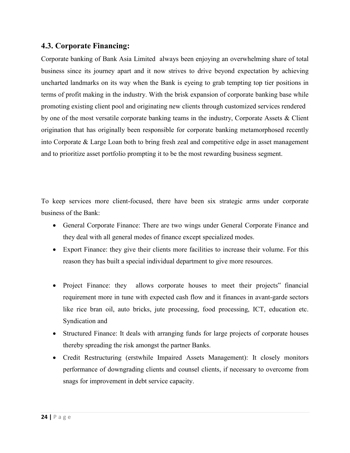#### **4.3. Corporate Financing:**

Corporate banking of Bank Asia Limited always been enjoying an overwhelming share of total business since its journey apart and it now strives to drive beyond expectation by achieving uncharted landmarks on its way when the Bank is eyeing to grab tempting top tier positions in terms of profit making in the industry. With the brisk expansion of corporate banking base while promoting existing client pool and originating new clients through customized services rendered by one of the most versatile corporate banking teams in the industry, Corporate Assets & Client origination that has originally been responsible for corporate banking metamorphosed recently into Corporate & Large Loan both to bring fresh zeal and competitive edge in asset management and to prioritize asset portfolio prompting it to be the most rewarding business segment.

To keep services more client-focused, there have been six strategic arms under corporate business of the Bank:

- General Corporate Finance: There are two wings under General Corporate Finance and they deal with all general modes of finance except specialized modes.
- Export Finance: they give their clients more facilities to increase their volume. For this reason they has built a special individual department to give more resources.
- Project Finance: they allows corporate houses to meet their projects" financial requirement more in tune with expected cash flow and it finances in avant-garde sectors like rice bran oil, auto bricks, jute processing, food processing, ICT, education etc. Syndication and
- Structured Finance: It deals with arranging funds for large projects of corporate houses thereby spreading the risk amongst the partner Banks.
- Credit Restructuring (erstwhile Impaired Assets Management): It closely monitors performance of downgrading clients and counsel clients, if necessary to overcome from snags for improvement in debt service capacity.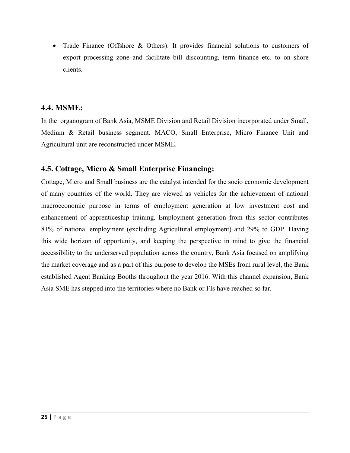• Trade Finance (Offshore & Others): It provides financial solutions to customers of export processing zone and facilitate bill discounting, term finance etc. to on shore clients.

#### **4.4. MSME:**

In the organogram of Bank Asia, MSME Division and Retail Division incorporated under Small, Medium & Retail business segment. MACO, Small Enterprise, Micro Finance Unit and Agricultural unit are reconstructed under MSME.

#### **4.5. Cottage, Micro & Small Enterprise Financing:**

Cottage, Micro and Small business are the catalyst intended for the socio economic development of many countries of the world. They are viewed as vehicles for the achievement of national macroeconomic purpose in terms of employment generation at low investment cost and enhancement of apprenticeship training. Employment generation from this sector contributes 81% of national employment (excluding Agricultural employment) and 29% to GDP. Having this wide horizon of opportunity, and keeping the perspective in mind to give the financial accessibility to the underserved population across the country, Bank Asia focused on amplifying the market coverage and as a part of this purpose to develop the MSEs from rural level, the Bank established Agent Banking Booths throughout the year 2016. With this channel expansion, Bank Asia SME has stepped into the territories where no Bank or FIs have reached so far.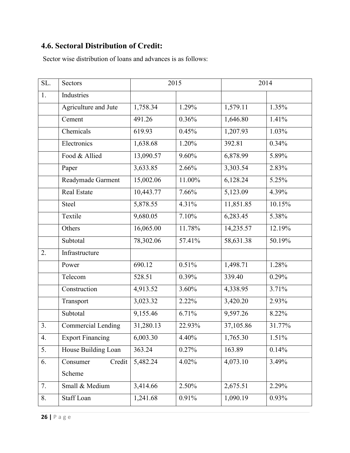#### **4.6. Sectoral Distribution of Credit:**

Sector wise distribution of loans and advances is as follows:

| SL. | Sectors                   | 2015      |        | 2014      |        |
|-----|---------------------------|-----------|--------|-----------|--------|
| 1.  | <b>Industries</b>         |           |        |           |        |
|     | Agriculture and Jute      | 1,758.34  | 1.29%  | 1,579.11  | 1.35%  |
|     | Cement                    | 491.26    | 0.36%  | 1,646.80  | 1.41%  |
|     | Chemicals                 | 619.93    | 0.45%  | 1,207.93  | 1.03%  |
|     | Electronics               | 1,638.68  | 1.20%  | 392.81    | 0.34%  |
|     | Food & Allied             | 13,090.57 | 9.60%  | 6,878.99  | 5.89%  |
|     | Paper                     | 3,633.85  | 2.66%  | 3,303.54  | 2.83%  |
|     | Readymade Garment         | 15,002.06 | 11.00% | 6,128.24  | 5.25%  |
|     | <b>Real Estate</b>        | 10,443.77 | 7.66%  | 5,123.09  | 4.39%  |
|     | Steel                     | 5,878.55  | 4.31%  | 11,851.85 | 10.15% |
|     | Textile                   | 9,680.05  | 7.10%  | 6,283.45  | 5.38%  |
|     | Others                    | 16,065.00 | 11.78% | 14,235.57 | 12.19% |
|     | Subtotal                  | 78,302.06 | 57.41% | 58,631.38 | 50.19% |
| 2.  | Infrastructure            |           |        |           |        |
|     | Power                     | 690.12    | 0.51%  | 1,498.71  | 1.28%  |
|     | Telecom                   | 528.51    | 0.39%  | 339.40    | 0.29%  |
|     | Construction              | 4,913.52  | 3.60%  | 4,338.95  | 3.71%  |
|     | Transport                 | 3,023.32  | 2.22%  | 3,420.20  | 2.93%  |
|     | Subtotal                  | 9,155.46  | 6.71%  | 9,597.26  | 8.22%  |
| 3.  | <b>Commercial Lending</b> | 31,280.13 | 22.93% | 37,105.86 | 31.77% |
| 4.  | <b>Export Financing</b>   | 6,003.30  | 4.40%  | 1,765.30  | 1.51%  |
| 5.  | House Building Loan       | 363.24    | 0.27%  | 163.89    | 0.14%  |
| 6.  | Credit<br>Consumer        | 5,482.24  | 4.02%  | 4,073.10  | 3.49%  |
|     | Scheme                    |           |        |           |        |
| 7.  | Small & Medium            | 3,414.66  | 2.50%  | 2,675.51  | 2.29%  |
| 8.  | Staff Loan                | 1,241.68  | 0.91%  | 1,090.19  | 0.93%  |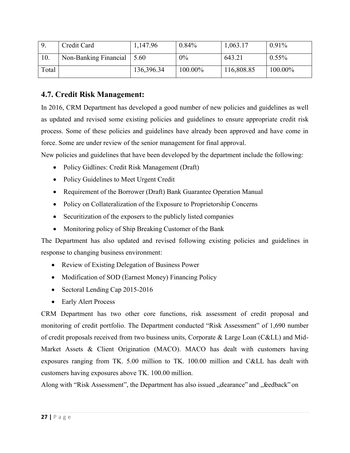| <u>9</u> | Credit Card           | 1,147.96   | 0.84%   | 1,063.17   | $0.91\%$ |
|----------|-----------------------|------------|---------|------------|----------|
| 10.      | Non-Banking Financial | 5.60       | $0\%$   | 643.21     | $0.55\%$ |
| Total    |                       | 136,396.34 | 100.00% | 116,808.85 | 100.00%  |

#### **4.7. Credit Risk Management:**

In 2016, CRM Department has developed a good number of new policies and guidelines as well as updated and revised some existing policies and guidelines to ensure appropriate credit risk process. Some of these policies and guidelines have already been approved and have come in force. Some are under review of the senior management for final approval.

New policies and guidelines that have been developed by the department include the following:

- Policy Gidlines: Credit Risk Management (Draft)
- Policy Guidelines to Meet Urgent Credit
- Requirement of the Borrower (Draft) Bank Guarantee Operation Manual
- Policy on Collateralization of the Exposure to Proprietorship Concerns
- Securitization of the exposers to the publicly listed companies
- Monitoring policy of Ship Breaking Customer of the Bank

The Department has also updated and revised following existing policies and guidelines in response to changing business environment:

- Review of Existing Delegation of Business Power
- Modification of SOD (Earnest Money) Financing Policy
- Sectoral Lending Cap 2015-2016
- Early Alert Process

CRM Department has two other core functions, risk assessment of credit proposal and monitoring of credit portfolio. The Department conducted "Risk Assessment" of 1,690 number of credit proposals received from two business units, Corporate & Large Loan (C&LL) and Mid-Market Assets & Client Origination (MACO). MACO has dealt with customers having exposures ranging from TK. 5.00 million to TK. 100.00 million and C&LL has dealt with customers having exposures above TK. 100.00 million.

Along with "Risk Assessment", the Department has also issued "clearance" and "feedback" on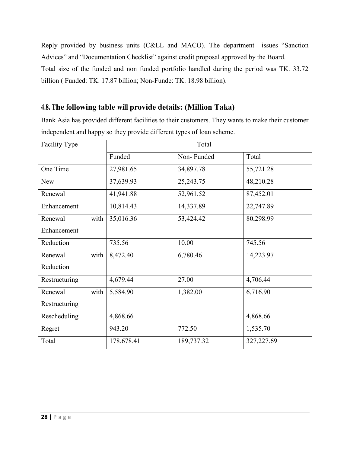Reply provided by business units (C&LL and MACO). The department issues "Sanction Advices" and "Documentation Checklist" against credit proposal approved by the Board. Total size of the funded and non funded portfolio handled during the period was TK. 33.72 billion ( Funded: TK. 17.87 billion; Non-Funde: TK. 18.98 billion).

#### **4.8. The following table will provide details: (Million Taka)**

Bank Asia has provided different facilities to their customers. They wants to make their customer independent and happy so they provide different types of loan scheme.

| Facility Type   | Total      |             |            |
|-----------------|------------|-------------|------------|
|                 | Funded     | Non-Funded  | Total      |
| One Time        | 27,981.65  | 34,897.78   | 55,721.28  |
| <b>New</b>      | 37,639.93  | 25, 243. 75 | 48,210.28  |
| Renewal         | 41,941.88  | 52,961.52   | 87,452.01  |
| Enhancement     | 10,814.43  | 14,337.89   | 22,747.89  |
| with<br>Renewal | 35,016.36  | 53,424.42   | 80,298.99  |
| Enhancement     |            |             |            |
| Reduction       | 735.56     | 10.00       | 745.56     |
| Renewal<br>with | 8,472.40   | 6,780.46    | 14,223.97  |
| Reduction       |            |             |            |
| Restructuring   | 4,679.44   | 27.00       | 4,706.44   |
| with<br>Renewal | 5,584.90   | 1,382.00    | 6,716.90   |
| Restructuring   |            |             |            |
| Rescheduling    | 4,868.66   |             | 4,868.66   |
| Regret          | 943.20     | 772.50      | 1,535.70   |
| Total           | 178,678.41 | 189,737.32  | 327,227.69 |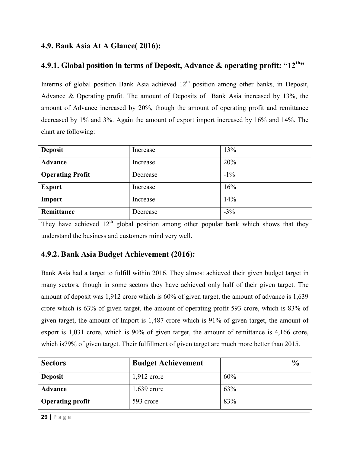#### **4.9. Bank Asia At A Glance( 2016):**

#### **4.9.1. Global position in terms of Deposit, Advance & operating profit: "12th"**

Interms of global position Bank Asia achieved  $12<sup>th</sup>$  position among other banks, in Deposit, Advance & Operating profit. The amount of Deposits of Bank Asia increased by 13%, the amount of Advance increased by 20%, though the amount of operating profit and remittance decreased by 1% and 3%. Again the amount of export import increased by 16% and 14%. The chart are following:

| <b>Deposit</b>          | Increase | 13%    |
|-------------------------|----------|--------|
| <b>Advance</b>          | Increase | 20%    |
| <b>Operating Profit</b> | Decrease | $-1\%$ |
| <b>Export</b>           | Increase | 16%    |
| Import                  | Increase | 14%    |
| Remittance              | Decrease | $-3\%$ |

They have achieved  $12<sup>th</sup>$  global position among other popular bank which shows that they understand the business and customers mind very well.

#### **4.9.2. Bank Asia Budget Achievement (2016):**

Bank Asia had a target to fulfill within 2016. They almost achieved their given budget target in many sectors, though in some sectors they have achieved only half of their given target. The amount of deposit was 1,912 crore which is 60% of given target, the amount of advance is 1,639 crore which is 63% of given target, the amount of operating profit 593 crore, which is 83% of given target, the amount of Import is 1,487 crore which is 91% of given target, the amount of export is 1,031 crore, which is 90% of given target, the amount of remittance is 4,166 crore, which is 79% of given target. Their fulfillment of given target are much more better than 2015.

| <b>Sectors</b>          | <b>Budget Achievement</b> | $\frac{0}{0}$ |
|-------------------------|---------------------------|---------------|
| <b>Deposit</b>          | $1,912$ crore             | 60%           |
| <b>Advance</b>          | $1,639$ crore             | 63%           |
| <b>Operating profit</b> | 593 crore                 | 83%           |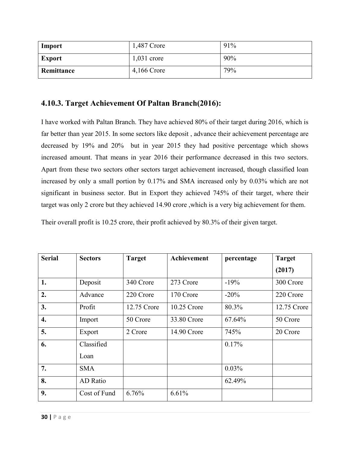| Import        | 1,487 Crore   | 91% |
|---------------|---------------|-----|
| <b>Export</b> | $1,031$ crore | 90% |
| Remittance    | 4,166 Crore   | 79% |

#### **4.10.3. Target Achievement Of Paltan Branch(2016):**

I have worked with Paltan Branch. They have achieved 80% of their target during 2016, which is far better than year 2015. In some sectors like deposit , advance their achievement percentage are decreased by 19% and 20% but in year 2015 they had positive percentage which shows increased amount. That means in year 2016 their performance decreased in this two sectors. Apart from these two sectors other sectors target achievement increased, though classified loan increased by only a small portion by 0.17% and SMA increased only by 0.03% which are not significant in business sector. But in Export they achieved 745% of their target, where their target was only 2 crore but they achieved 14.90 crore ,which is a very big achievement for them.

Their overall profit is 10.25 crore, their profit achieved by 80.3% of their given target.

| <b>Serial</b>      | <b>Sectors</b> | <b>Target</b> | Achievement | percentage | <b>Target</b> |
|--------------------|----------------|---------------|-------------|------------|---------------|
|                    |                |               |             |            | (2017)        |
| 1.                 | Deposit        | 340 Crore     | 273 Crore   | $-19%$     | 300 Crore     |
| 2.                 | Advance        | 220 Crore     | 170 Crore   | $-20%$     | 220 Crore     |
| 3.                 | Profit         | 12.75 Crore   | 10.25 Crore | 80.3%      | 12.75 Crore   |
| $\boldsymbol{4}$ . | Import         | 50 Crore      | 33.80 Crore | 67.64%     | 50 Crore      |
| 5.                 | Export         | 2 Crore       | 14.90 Crore | 745%       | 20 Crore      |
| 6.                 | Classified     |               |             | 0.17%      |               |
|                    | Loan           |               |             |            |               |
| 7.                 | <b>SMA</b>     |               |             | 0.03%      |               |
| 8.                 | AD Ratio       |               |             | 62.49%     |               |
| 9.                 | Cost of Fund   | 6.76%         | 6.61%       |            |               |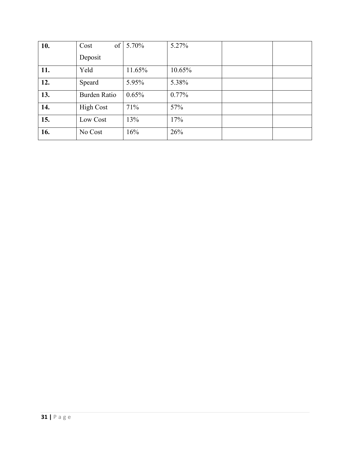| 10. | Cost                | of $5.70\%$ | 5.27%    |  |
|-----|---------------------|-------------|----------|--|
|     | Deposit             |             |          |  |
| 11. | Yeld                | 11.65%      | 10.65%   |  |
| 12. | Speard              | 5.95%       | 5.38%    |  |
| 13. | <b>Burden Ratio</b> | 0.65%       | $0.77\%$ |  |
| 14. | <b>High Cost</b>    | 71%         | 57%      |  |
| 15. | Low Cost            | 13%         | 17%      |  |
| 16. | No Cost             | 16%         | 26%      |  |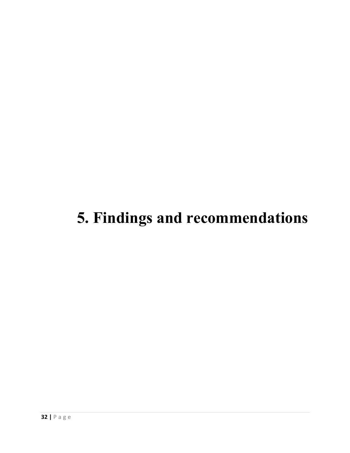### **5. Findings and recommendations**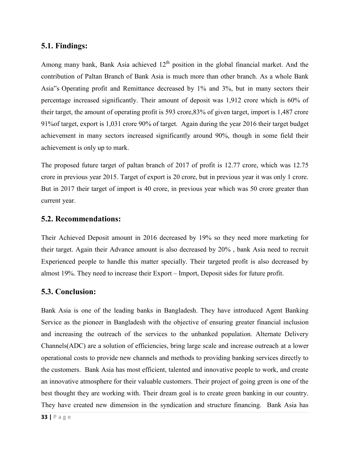#### **5.1. Findings:**

Among many bank, Bank Asia achieved  $12<sup>th</sup>$  position in the global financial market. And the contribution of Paltan Branch of Bank Asia is much more than other branch. As a whole Bank Asia"s Operating profit and Remittance decreased by 1% and 3%, but in many sectors their percentage increased significantly. Their amount of deposit was 1,912 crore which is 60% of their target, the amount of operating profit is 593 crore,83% of given target, import is 1,487 crore 91%of target, export is 1,031 crore 90% of target. Again during the year 2016 their target budget achievement in many sectors increased significantly around 90%, though in some field their achievement is only up to mark.

The proposed future target of paltan branch of 2017 of profit is 12.77 crore, which was 12.75 crore in previous year 2015. Target of export is 20 crore, but in previous year it was only 1 crore. But in 2017 their target of import is 40 crore, in previous year which was 50 crore greater than current year.

#### **5.2. Recommendations:**

Their Achieved Deposit amount in 2016 decreased by 19% so they need more marketing for their target. Again their Advance amount is also decreased by 20% , bank Asia need to recruit Experienced people to handle this matter specially. Their targeted profit is also decreased by almost 19%. They need to increase their Export – Import, Deposit sides for future profit.

#### **5.3. Conclusion:**

Bank Asia is one of the leading banks in Bangladesh. They have introduced Agent Banking Service as the pioneer in Bangladesh with the objective of ensuring greater financial inclusion and increasing the outreach of the services to the unbanked population. Alternate Delivery Channels(ADC) are a solution of efficiencies, bring large scale and increase outreach at a lower operational costs to provide new channels and methods to providing banking services directly to the customers. Bank Asia has most efficient, talented and innovative people to work, and create an innovative atmosphere for their valuable customers. Their project of going green is one of the best thought they are working with. Their dream goal is to create green banking in our country. They have created new dimension in the syndication and structure financing. Bank Asia has